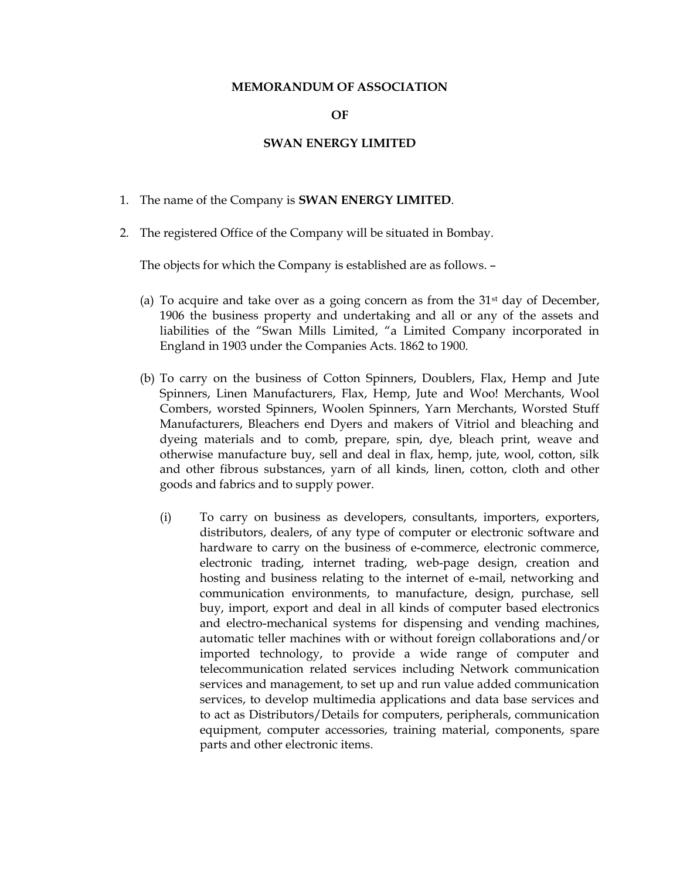## MEMORANDUM OF ASSOCIATION

## OF

## SWAN ENERGY LIMITED

- 1. The name of the Company is SWAN ENERGY LIMITED.
- 2. The registered Office of the Company will be situated in Bombay.

The objects for which the Company is established are as follows. –

- (a) To acquire and take over as a going concern as from the  $31<sup>st</sup>$  day of December, 1906 the business property and undertaking and all or any of the assets and liabilities of the "Swan Mills Limited, "a Limited Company incorporated in England in 1903 under the Companies Acts. 1862 to 1900.
- (b) To carry on the business of Cotton Spinners, Doublers, Flax, Hemp and Jute Spinners, Linen Manufacturers, Flax, Hemp, Jute and Woo! Merchants, Wool Combers, worsted Spinners, Woolen Spinners, Yarn Merchants, Worsted Stuff Manufacturers, Bleachers end Dyers and makers of Vitriol and bleaching and dyeing materials and to comb, prepare, spin, dye, bleach print, weave and otherwise manufacture buy, sell and deal in flax, hemp, jute, wool, cotton, silk and other fibrous substances, yarn of all kinds, linen, cotton, cloth and other goods and fabrics and to supply power.
	- (i) To carry on business as developers, consultants, importers, exporters, distributors, dealers, of any type of computer or electronic software and hardware to carry on the business of e-commerce, electronic commerce, electronic trading, internet trading, web-page design, creation and hosting and business relating to the internet of e-mail, networking and communication environments, to manufacture, design, purchase, sell buy, import, export and deal in all kinds of computer based electronics and electro-mechanical systems for dispensing and vending machines, automatic teller machines with or without foreign collaborations and/or imported technology, to provide a wide range of computer and telecommunication related services including Network communication services and management, to set up and run value added communication services, to develop multimedia applications and data base services and to act as Distributors/Details for computers, peripherals, communication equipment, computer accessories, training material, components, spare parts and other electronic items.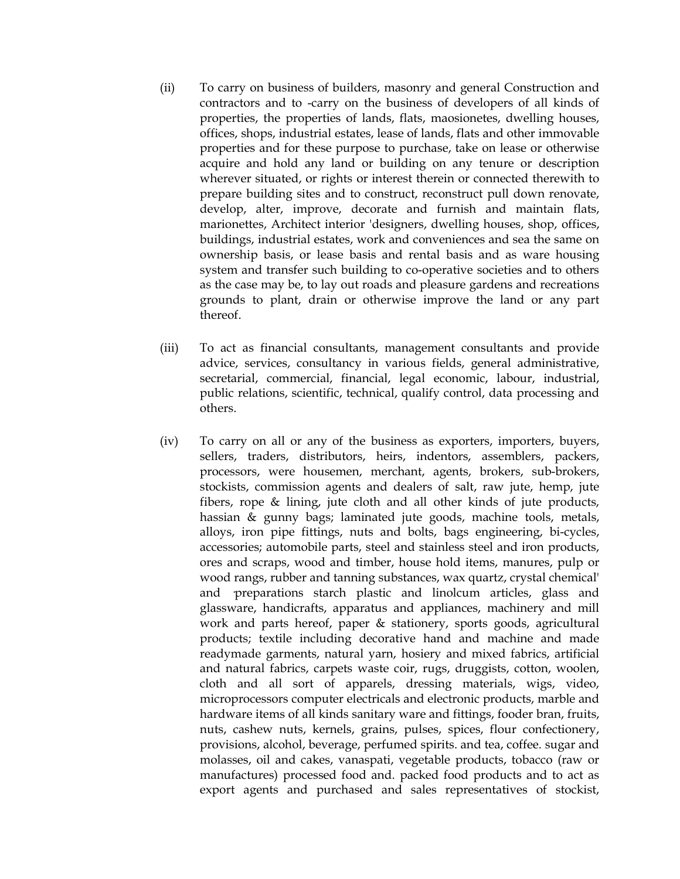- (ii) To carry on business of builders, masonry and general Construction and contractors and to -carry on the business of developers of all kinds of properties, the properties of lands, flats, maosionetes, dwelling houses, offices, shops, industrial estates, lease of lands, flats and other immovable properties and for these purpose to purchase, take on lease or otherwise acquire and hold any land or building on any tenure or description wherever situated, or rights or interest therein or connected therewith to prepare building sites and to construct, reconstruct pull down renovate, develop, alter, improve, decorate and furnish and maintain flats, marionettes, Architect interior 'designers, dwelling houses, shop, offices, buildings, industrial estates, work and conveniences and sea the same on ownership basis, or lease basis and rental basis and as ware housing system and transfer such building to co-operative societies and to others as the case may be, to lay out roads and pleasure gardens and recreations grounds to plant, drain or otherwise improve the land or any part thereof.
- (iii) To act as financial consultants, management consultants and provide advice, services, consultancy in various fields, general administrative, secretarial, commercial, financial, legal economic, labour, industrial, public relations, scientific, technical, qualify control, data processing and others.
- (iv) To carry on all or any of the business as exporters, importers, buyers, sellers, traders, distributors, heirs, indentors, assemblers, packers, processors, were housemen, merchant, agents, brokers, sub-brokers, stockists, commission agents and dealers of salt, raw jute, hemp, jute fibers, rope & lining, jute cloth and all other kinds of jute products, hassian & gunny bags; laminated jute goods, machine tools, metals, alloys, iron pipe fittings, nuts and bolts, bags engineering, bi-cycles, accessories; automobile parts, steel and stainless steel and iron products, ores and scraps, wood and timber, house hold items, manures, pulp or wood rangs, rubber and tanning substances, wax quartz, crystal chemical' and preparations starch plastic and linolcum articles, glass and glassware, handicrafts, apparatus and appliances, machinery and mill work and parts hereof, paper & stationery, sports goods, agricultural products; textile including decorative hand and machine and made readymade garments, natural yarn, hosiery and mixed fabrics, artificial and natural fabrics, carpets waste coir, rugs, druggists, cotton, woolen, cloth and all sort of apparels, dressing materials, wigs, video, microprocessors computer electricals and electronic products, marble and hardware items of all kinds sanitary ware and fittings, fooder bran, fruits, nuts, cashew nuts, kernels, grains, pulses, spices, flour confectionery, provisions, alcohol, beverage, perfumed spirits. and tea, coffee. sugar and molasses, oil and cakes, vanaspati, vegetable products, tobacco (raw or manufactures) processed food and. packed food products and to act as export agents and purchased and sales representatives of stockist,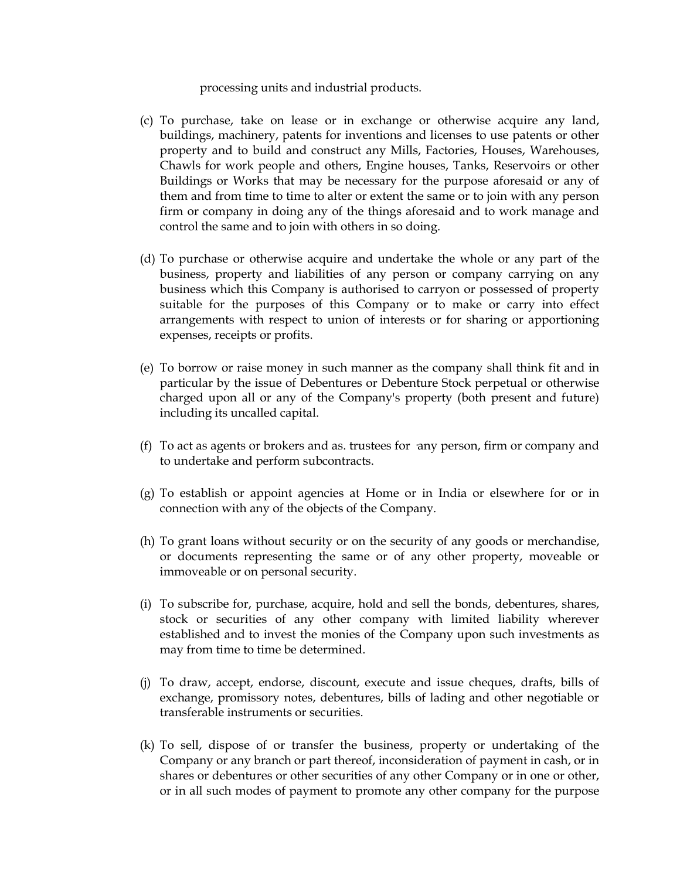processing units and industrial products.

- (c) To purchase, take on lease or in exchange or otherwise acquire any land, buildings, machinery, patents for inventions and licenses to use patents or other property and to build and construct any Mills, Factories, Houses, Warehouses, Chawls for work people and others, Engine houses, Tanks, Reservoirs or other Buildings or Works that may be necessary for the purpose aforesaid or any of them and from time to time to alter or extent the same or to join with any person firm or company in doing any of the things aforesaid and to work manage and control the same and to join with others in so doing.
- (d) To purchase or otherwise acquire and undertake the whole or any part of the business, property and liabilities of any person or company carrying on any business which this Company is authorised to carryon or possessed of property suitable for the purposes of this Company or to make or carry into effect arrangements with respect to union of interests or for sharing or apportioning expenses, receipts or profits.
- (e) To borrow or raise money in such manner as the company shall think fit and in particular by the issue of Debentures or Debenture Stock perpetual or otherwise charged upon all or any of the Company's property (both present and future) including its uncalled capital.
- $(f)$  To act as agents or brokers and as. trustees for any person, firm or company and to undertake and perform subcontracts.
- (g) To establish or appoint agencies at Home or in India or elsewhere for or in connection with any of the objects of the Company.
- (h) To grant loans without security or on the security of any goods or merchandise, or documents representing the same or of any other property, moveable or immoveable or on personal security.
- (i) To subscribe for, purchase, acquire, hold and sell the bonds, debentures, shares, stock or securities of any other company with limited liability wherever established and to invest the monies of the Company upon such investments as may from time to time be determined.
- (j) To draw, accept, endorse, discount, execute and issue cheques, drafts, bills of exchange, promissory notes, debentures, bills of lading and other negotiable or transferable instruments or securities.
- (k) To sell, dispose of or transfer the business, property or undertaking of the Company or any branch or part thereof, inconsideration of payment in cash, or in shares or debentures or other securities of any other Company or in one or other, or in all such modes of payment to promote any other company for the purpose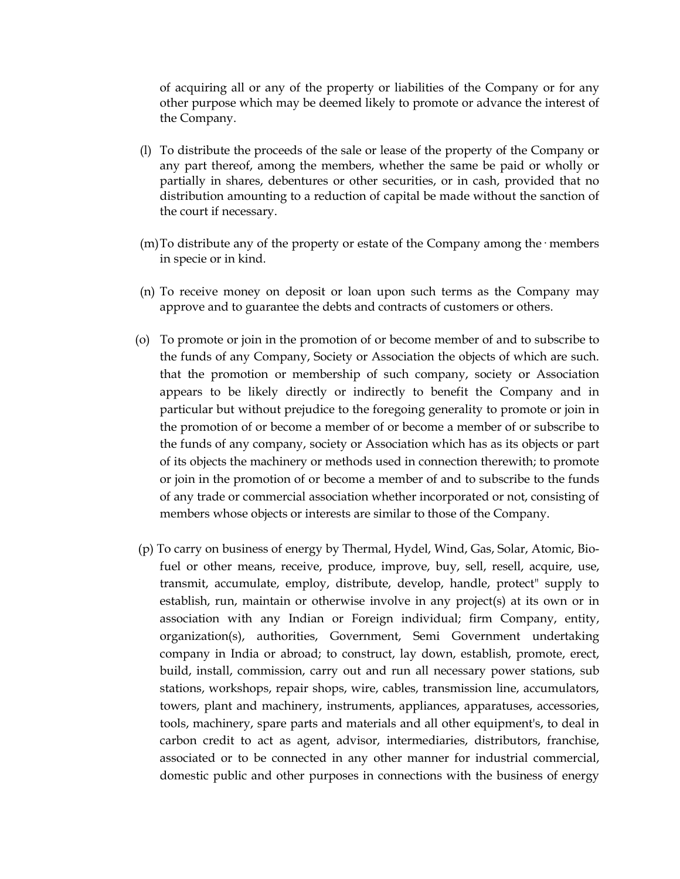of acquiring all or any of the property or liabilities of the Company or for any other purpose which may be deemed likely to promote or advance the interest of the Company.

- (l) To distribute the proceeds of the sale or lease of the property of the Company or any part thereof, among the members, whether the same be paid or wholly or partially in shares, debentures or other securities, or in cash, provided that no distribution amounting to a reduction of capital be made without the sanction of the court if necessary.
- (m) To distribute any of the property or estate of the Company among the  $\cdot$  members in specie or in kind.
- (n) To receive money on deposit or loan upon such terms as the Company may approve and to guarantee the debts and contracts of customers or others.
- (o) To promote or join in the promotion of or become member of and to subscribe to the funds of any Company, Society or Association the objects of which are such. that the promotion or membership of such company, society or Association appears to be likely directly or indirectly to benefit the Company and in particular but without prejudice to the foregoing generality to promote or join in the promotion of or become a member of or become a member of or subscribe to the funds of any company, society or Association which has as its objects or part of its objects the machinery or methods used in connection therewith; to promote or join in the promotion of or become a member of and to subscribe to the funds of any trade or commercial association whether incorporated or not, consisting of members whose objects or interests are similar to those of the Company.
- (p) To carry on business of energy by Thermal, Hydel, Wind, Gas, Solar, Atomic, Biofuel or other means, receive, produce, improve, buy, sell, resell, acquire, use, transmit, accumulate, employ, distribute, develop, handle, protect" supply to establish, run, maintain or otherwise involve in any project(s) at its own or in association with any Indian or Foreign individual; firm Company, entity, organization(s), authorities, Government, Semi Government undertaking company in India or abroad; to construct, lay down, establish, promote, erect, build, install, commission, carry out and run all necessary power stations, sub stations, workshops, repair shops, wire, cables, transmission line, accumulators, towers, plant and machinery, instruments, appliances, apparatuses, accessories, tools, machinery, spare parts and materials and all other equipment's, to deal in carbon credit to act as agent, advisor, intermediaries, distributors, franchise, associated or to be connected in any other manner for industrial commercial, domestic public and other purposes in connections with the business of energy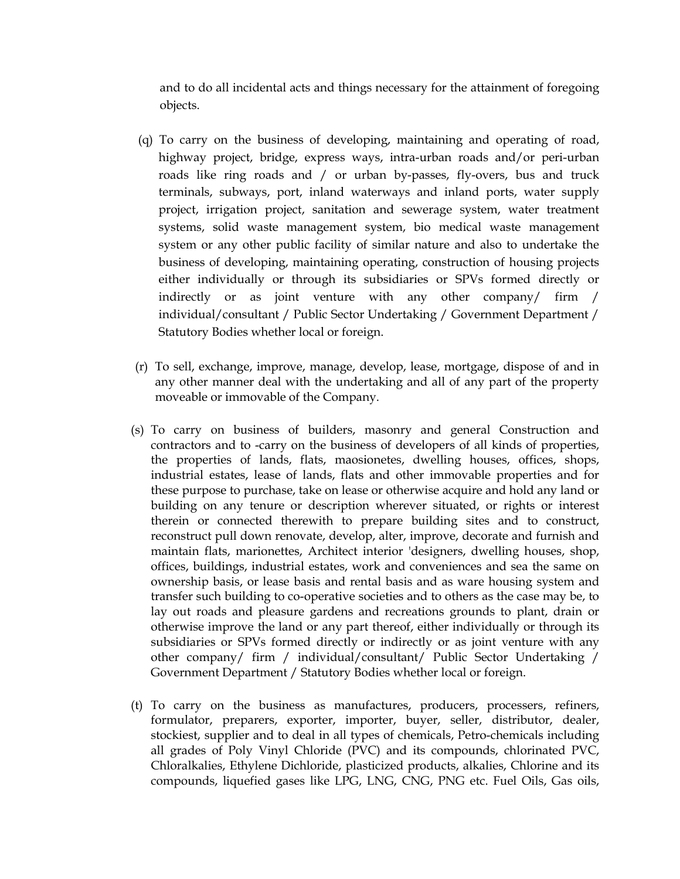and to do all incidental acts and things necessary for the attainment of foregoing objects.

- (q) To carry on the business of developing, maintaining and operating of road, highway project, bridge, express ways, intra-urban roads and/or peri-urban roads like ring roads and / or urban by-passes, fly-overs, bus and truck terminals, subways, port, inland waterways and inland ports, water supply project, irrigation project, sanitation and sewerage system, water treatment systems, solid waste management system, bio medical waste management system or any other public facility of similar nature and also to undertake the business of developing, maintaining operating, construction of housing projects either individually or through its subsidiaries or SPVs formed directly or indirectly or as joint venture with any other company/ firm / individual/consultant / Public Sector Undertaking / Government Department / Statutory Bodies whether local or foreign.
- (r) To sell, exchange, improve, manage, develop, lease, mortgage, dispose of and in any other manner deal with the undertaking and all of any part of the property moveable or immovable of the Company.
- (s) To carry on business of builders, masonry and general Construction and contractors and to -carry on the business of developers of all kinds of properties, the properties of lands, flats, maosionetes, dwelling houses, offices, shops, industrial estates, lease of lands, flats and other immovable properties and for these purpose to purchase, take on lease or otherwise acquire and hold any land or building on any tenure or description wherever situated, or rights or interest therein or connected therewith to prepare building sites and to construct, reconstruct pull down renovate, develop, alter, improve, decorate and furnish and maintain flats, marionettes, Architect interior 'designers, dwelling houses, shop, offices, buildings, industrial estates, work and conveniences and sea the same on ownership basis, or lease basis and rental basis and as ware housing system and transfer such building to co-operative societies and to others as the case may be, to lay out roads and pleasure gardens and recreations grounds to plant, drain or otherwise improve the land or any part thereof, either individually or through its subsidiaries or SPVs formed directly or indirectly or as joint venture with any other company/ firm / individual/consultant/ Public Sector Undertaking / Government Department / Statutory Bodies whether local or foreign.
- (t) To carry on the business as manufactures, producers, processers, refiners, formulator, preparers, exporter, importer, buyer, seller, distributor, dealer, stockiest, supplier and to deal in all types of chemicals, Petro-chemicals including all grades of Poly Vinyl Chloride (PVC) and its compounds, chlorinated PVC, Chloralkalies, Ethylene Dichloride, plasticized products, alkalies, Chlorine and its compounds, liquefied gases like LPG, LNG, CNG, PNG etc. Fuel Oils, Gas oils,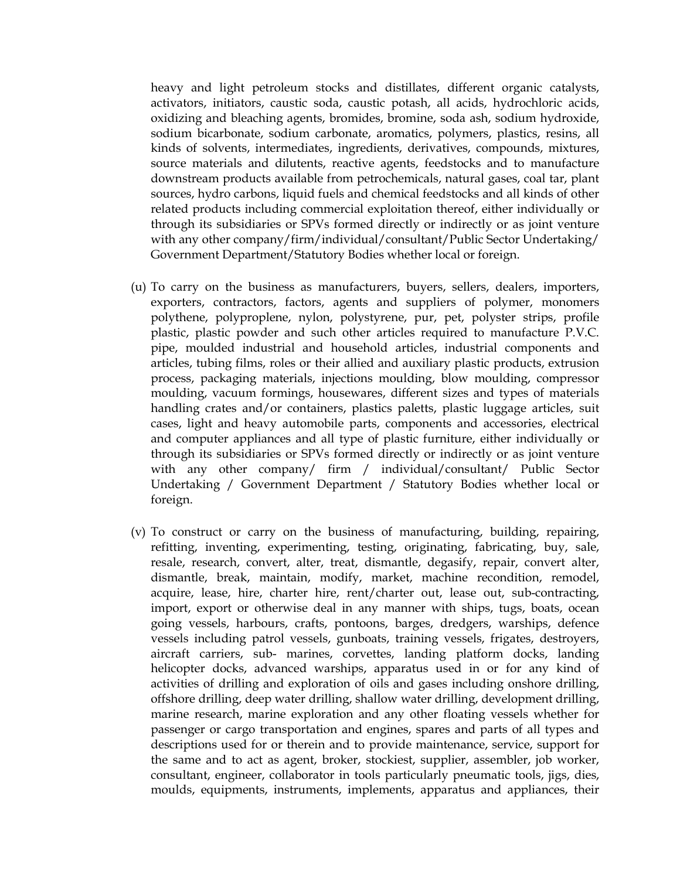heavy and light petroleum stocks and distillates, different organic catalysts, activators, initiators, caustic soda, caustic potash, all acids, hydrochloric acids, oxidizing and bleaching agents, bromides, bromine, soda ash, sodium hydroxide, sodium bicarbonate, sodium carbonate, aromatics, polymers, plastics, resins, all kinds of solvents, intermediates, ingredients, derivatives, compounds, mixtures, source materials and dilutents, reactive agents, feedstocks and to manufacture downstream products available from petrochemicals, natural gases, coal tar, plant sources, hydro carbons, liquid fuels and chemical feedstocks and all kinds of other related products including commercial exploitation thereof, either individually or through its subsidiaries or SPVs formed directly or indirectly or as joint venture with any other company/firm/individual/consultant/Public Sector Undertaking/ Government Department/Statutory Bodies whether local or foreign.

- (u) To carry on the business as manufacturers, buyers, sellers, dealers, importers, exporters, contractors, factors, agents and suppliers of polymer, monomers polythene, polyproplene, nylon, polystyrene, pur, pet, polyster strips, profile plastic, plastic powder and such other articles required to manufacture P.V.C. pipe, moulded industrial and household articles, industrial components and articles, tubing films, roles or their allied and auxiliary plastic products, extrusion process, packaging materials, injections moulding, blow moulding, compressor moulding, vacuum formings, housewares, different sizes and types of materials handling crates and/or containers, plastics paletts, plastic luggage articles, suit cases, light and heavy automobile parts, components and accessories, electrical and computer appliances and all type of plastic furniture, either individually or through its subsidiaries or SPVs formed directly or indirectly or as joint venture with any other company/ firm / individual/consultant/ Public Sector Undertaking / Government Department / Statutory Bodies whether local or foreign.
- (v) To construct or carry on the business of manufacturing, building, repairing, refitting, inventing, experimenting, testing, originating, fabricating, buy, sale, resale, research, convert, alter, treat, dismantle, degasify, repair, convert alter, dismantle, break, maintain, modify, market, machine recondition, remodel, acquire, lease, hire, charter hire, rent/charter out, lease out, sub-contracting, import, export or otherwise deal in any manner with ships, tugs, boats, ocean going vessels, harbours, crafts, pontoons, barges, dredgers, warships, defence vessels including patrol vessels, gunboats, training vessels, frigates, destroyers, aircraft carriers, sub- marines, corvettes, landing platform docks, landing helicopter docks, advanced warships, apparatus used in or for any kind of activities of drilling and exploration of oils and gases including onshore drilling, offshore drilling, deep water drilling, shallow water drilling, development drilling, marine research, marine exploration and any other floating vessels whether for passenger or cargo transportation and engines, spares and parts of all types and descriptions used for or therein and to provide maintenance, service, support for the same and to act as agent, broker, stockiest, supplier, assembler, job worker, consultant, engineer, collaborator in tools particularly pneumatic tools, jigs, dies, moulds, equipments, instruments, implements, apparatus and appliances, their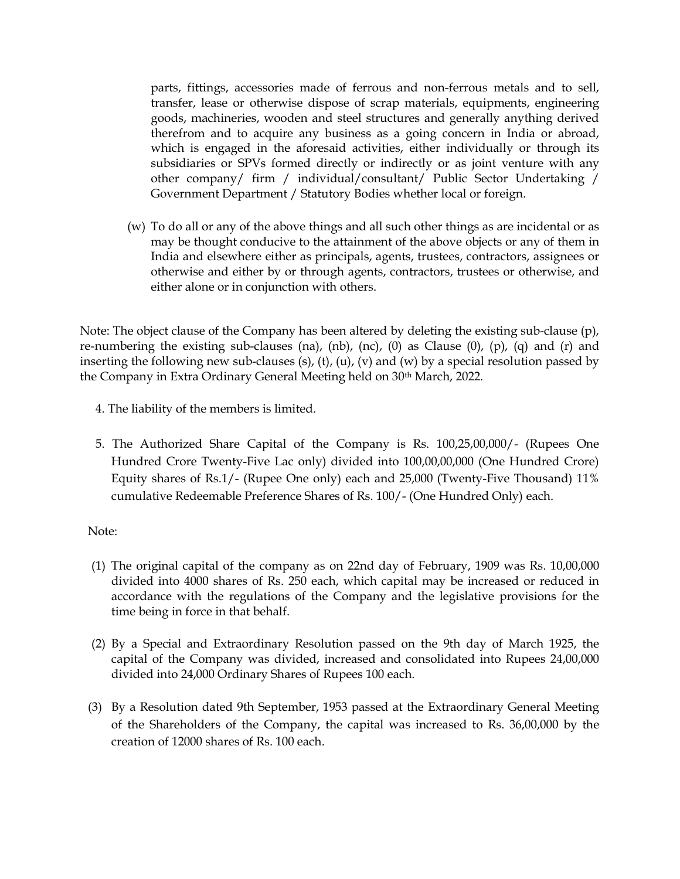parts, fittings, accessories made of ferrous and non-ferrous metals and to sell, transfer, lease or otherwise dispose of scrap materials, equipments, engineering goods, machineries, wooden and steel structures and generally anything derived therefrom and to acquire any business as a going concern in India or abroad, which is engaged in the aforesaid activities, either individually or through its subsidiaries or SPVs formed directly or indirectly or as joint venture with any other company/ firm / individual/consultant/ Public Sector Undertaking / Government Department / Statutory Bodies whether local or foreign.

(w) To do all or any of the above things and all such other things as are incidental or as may be thought conducive to the attainment of the above objects or any of them in India and elsewhere either as principals, agents, trustees, contractors, assignees or otherwise and either by or through agents, contractors, trustees or otherwise, and either alone or in conjunction with others.

Note: The object clause of the Company has been altered by deleting the existing sub-clause (p), re-numbering the existing sub-clauses (na), (nb), (nc), (0) as Clause (0), (p), (q) and (r) and inserting the following new sub-clauses (s), (t), (u), (v) and (w) by a special resolution passed by the Company in Extra Ordinary General Meeting held on 30th March, 2022.

- 4. The liability of the members is limited.
- 5. The Authorized Share Capital of the Company is Rs. 100,25,00,000/- (Rupees One Hundred Crore Twenty-Five Lac only) divided into 100,00,00,000 (One Hundred Crore) Equity shares of Rs.1/- (Rupee One only) each and 25,000 (Twenty-Five Thousand) 11% cumulative Redeemable Preference Shares of Rs. 100/- (One Hundred Only) each.

## Note:

- (1) The original capital of the company as on 22nd day of February, 1909 was Rs. 10,00,000 divided into 4000 shares of Rs. 250 each, which capital may be increased or reduced in accordance with the regulations of the Company and the legislative provisions for the time being in force in that behalf.
- (2) By a Special and Extraordinary Resolution passed on the 9th day of March 1925, the capital of the Company was divided, increased and consolidated into Rupees 24,00,000 divided into 24,000 Ordinary Shares of Rupees 100 each.
- (3) By a Resolution dated 9th September, 1953 passed at the Extraordinary General Meeting of the Shareholders of the Company, the capital was increased to Rs. 36,00,000 by the creation of 12000 shares of Rs. 100 each.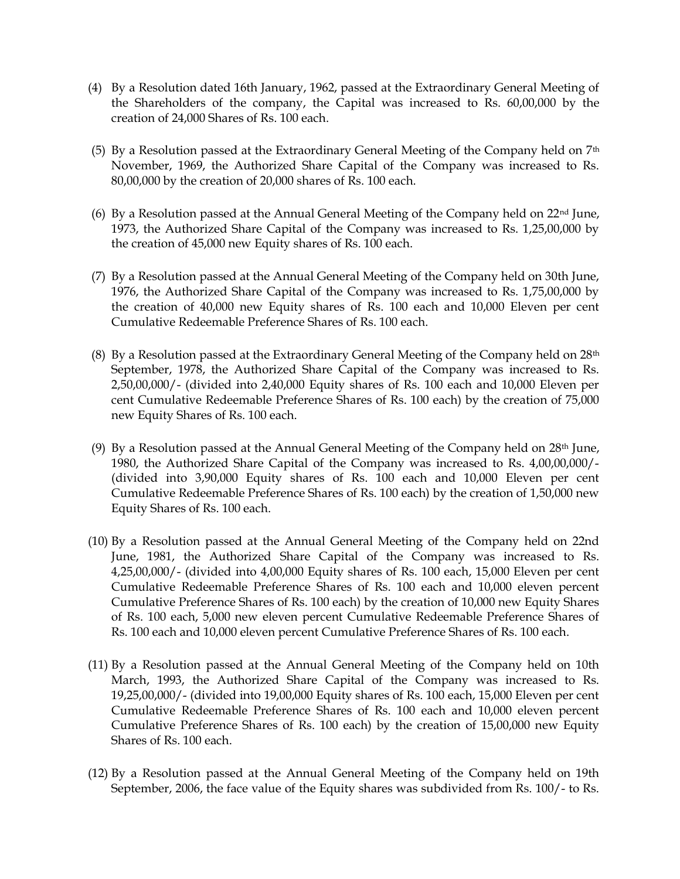- (4) By a Resolution dated 16th January, 1962, passed at the Extraordinary General Meeting of the Shareholders of the company, the Capital was increased to Rs. 60,00,000 by the creation of 24,000 Shares of Rs. 100 each.
- (5) By a Resolution passed at the Extraordinary General Meeting of the Company held on  $7<sup>th</sup>$ November, 1969, the Authorized Share Capital of the Company was increased to Rs. 80,00,000 by the creation of 20,000 shares of Rs. 100 each.
- (6) By a Resolution passed at the Annual General Meeting of the Company held on 22nd June, 1973, the Authorized Share Capital of the Company was increased to Rs. 1,25,00,000 by the creation of 45,000 new Equity shares of Rs. 100 each.
- (7) By a Resolution passed at the Annual General Meeting of the Company held on 30th June, 1976, the Authorized Share Capital of the Company was increased to Rs. 1,75,00,000 by the creation of 40,000 new Equity shares of Rs. 100 each and 10,000 Eleven per cent Cumulative Redeemable Preference Shares of Rs. 100 each.
- (8) By a Resolution passed at the Extraordinary General Meeting of the Company held on  $28<sup>th</sup>$ September, 1978, the Authorized Share Capital of the Company was increased to Rs. 2,50,00,000/- (divided into 2,40,000 Equity shares of Rs. 100 each and 10,000 Eleven per cent Cumulative Redeemable Preference Shares of Rs. 100 each) by the creation of 75,000 new Equity Shares of Rs. 100 each.
- (9) By a Resolution passed at the Annual General Meeting of the Company held on  $28<sup>th</sup>$  June, 1980, the Authorized Share Capital of the Company was increased to Rs. 4,00,00,000/- (divided into 3,90,000 Equity shares of Rs. 100 each and 10,000 Eleven per cent Cumulative Redeemable Preference Shares of Rs. 100 each) by the creation of 1,50,000 new Equity Shares of Rs. 100 each.
- (10) By a Resolution passed at the Annual General Meeting of the Company held on 22nd June, 1981, the Authorized Share Capital of the Company was increased to Rs. 4,25,00,000/- (divided into 4,00,000 Equity shares of Rs. 100 each, 15,000 Eleven per cent Cumulative Redeemable Preference Shares of Rs. 100 each and 10,000 eleven percent Cumulative Preference Shares of Rs. 100 each) by the creation of 10,000 new Equity Shares of Rs. 100 each, 5,000 new eleven percent Cumulative Redeemable Preference Shares of Rs. 100 each and 10,000 eleven percent Cumulative Preference Shares of Rs. 100 each.
- (11) By a Resolution passed at the Annual General Meeting of the Company held on 10th March, 1993, the Authorized Share Capital of the Company was increased to Rs. 19,25,00,000/- (divided into 19,00,000 Equity shares of Rs. 100 each, 15,000 Eleven per cent Cumulative Redeemable Preference Shares of Rs. 100 each and 10,000 eleven percent Cumulative Preference Shares of Rs. 100 each) by the creation of 15,00,000 new Equity Shares of Rs. 100 each.
- (12) By a Resolution passed at the Annual General Meeting of the Company held on 19th September, 2006, the face value of the Equity shares was subdivided from Rs. 100/- to Rs.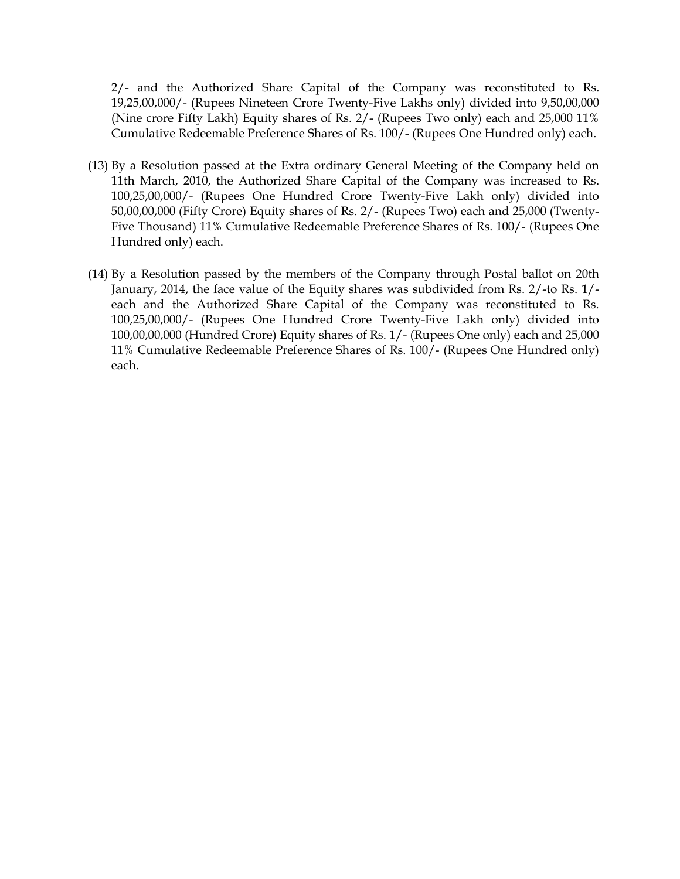2/- and the Authorized Share Capital of the Company was reconstituted to Rs. 19,25,00,000/- (Rupees Nineteen Crore Twenty-Five Lakhs only) divided into 9,50,00,000 (Nine crore Fifty Lakh) Equity shares of Rs. 2/- (Rupees Two only) each and 25,000 11% Cumulative Redeemable Preference Shares of Rs. 100/- (Rupees One Hundred only) each.

- (13) By a Resolution passed at the Extra ordinary General Meeting of the Company held on 11th March, 2010, the Authorized Share Capital of the Company was increased to Rs. 100,25,00,000/- (Rupees One Hundred Crore Twenty-Five Lakh only) divided into 50,00,00,000 (Fifty Crore) Equity shares of Rs. 2/- (Rupees Two) each and 25,000 (Twenty-Five Thousand) 11% Cumulative Redeemable Preference Shares of Rs. 100/- (Rupees One Hundred only) each.
- (14) By a Resolution passed by the members of the Company through Postal ballot on 20th January, 2014, the face value of the Equity shares was subdivided from Rs. 2/-to Rs. 1/ each and the Authorized Share Capital of the Company was reconstituted to Rs. 100,25,00,000/- (Rupees One Hundred Crore Twenty-Five Lakh only) divided into 100,00,00,000 (Hundred Crore) Equity shares of Rs. 1/- (Rupees One only) each and 25,000 11% Cumulative Redeemable Preference Shares of Rs. 100/- (Rupees One Hundred only) each.